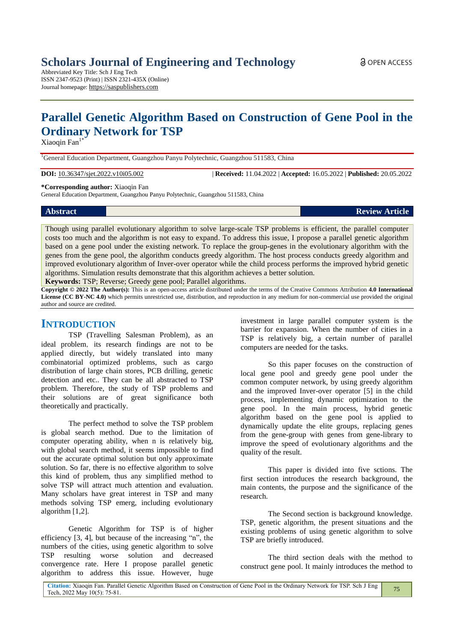Abbreviated Key Title: Sch J Eng Tech ISSN 2347-9523 (Print) | ISSN 2321-435X (Online) Journal homepage: https://saspublishers.com

# **Parallel Genetic Algorithm Based on Construction of Gene Pool in the Ordinary Network for TSP**

Xiaoqin  $Fan<sup>1</sup>$ 

<sup>1</sup>General Education Department, Guangzhou Panyu Polytechnic, Guangzhou 511583, China

**DOI:** 10.36347/sjet.2022.v10i05.002 | **Received:** 11.04.2022 | **Accepted:** 16.05.2022 | **Published:** 20.05.2022

**\*Corresponding author:** Xiaoqin Fan

General Education Department, Guangzhou Panyu Polytechnic, Guangzhou 511583, China

| <b>Abstract</b> | <b>Review Article</b> |
|-----------------|-----------------------|

Though using parallel evolutionary algorithm to solve large-scale TSP problems is efficient, the parallel computer costs too much and the algorithm is not easy to expand. To address this issue, I propose a parallel genetic algorithm based on a gene pool under the existing network. To replace the group-genes in the evolutionary algorithm with the genes from the gene pool, the algorithm conducts greedy algorithm. The host process conducts greedy algorithm and improved evolutionary algorithm of Inver-over operator while the child process performs the improved hybrid genetic algorithms. Simulation results demonstrate that this algorithm achieves a better solution.

**Keywords:** TSP; Reverse; Greedy gene pool; Parallel algorithms.

**Copyright © 2022 The Author(s):** This is an open-access article distributed under the terms of the Creative Commons Attribution **4.0 International License (CC BY-NC 4.0)** which permits unrestricted use, distribution, and reproduction in any medium for non-commercial use provided the original author and source are credited.

# **INTRODUCTION**

TSP (Travelling Salesman Problem), as an ideal problem, its research findings are not to be applied directly, but widely translated into many combinatorial optimized problems, such as cargo distribution of large chain stores, PCB drilling, genetic detection and etc.. They can be all abstracted to TSP problem. Therefore, the study of TSP problems and their solutions are of great significance both theoretically and practically.

The perfect method to solve the TSP problem is global search method. Due to the limitation of computer operating ability, when n is relatively big, with global search method, it seems impossible to find out the accurate optimal solution but only approximate solution. So far, there is no effective algorithm to solve this kind of problem, thus any simplified method to solve TSP will attract much attention and evaluation. Many scholars have great interest in TSP and many methods solving TSP emerg, including evolutionary algorithm [1,2].

Genetic Algorithm for TSP is of higher efficiency [3, 4], but because of the increasing "n", the numbers of the cities, using genetic algorithm to solve TSP resulting worse solution and decreased convergence rate. Here I propose parallel genetic algorithm to address this issue. However, huge investment in large parallel computer system is the barrier for expansion. When the number of cities in a TSP is relatively big, a certain number of parallel computers are needed for the tasks.

So this paper focuses on the construction of local gene pool and greedy gene pool under the common computer network, by using greedy algorithm and the improved Inver-over operator [5] in the child process, implementing dynamic optimization to the gene pool. In the main process, hybrid genetic algorithm based on the gene pool is applied to dynamically update the elite groups, replacing genes from the gene-group with genes from gene-library to improve the speed of evolutionary algorithms and the quality of the result.

This paper is divided into five sctions. The first section introduces the research background, the main contents, the purpose and the significance of the research.

The Second section is background knowledge. TSP, genetic algorithm, the present situations and the existing problems of using genetic algorithm to solve TSP are briefly introduced.

The third section deals with the method to construct gene pool. It mainly introduces the method to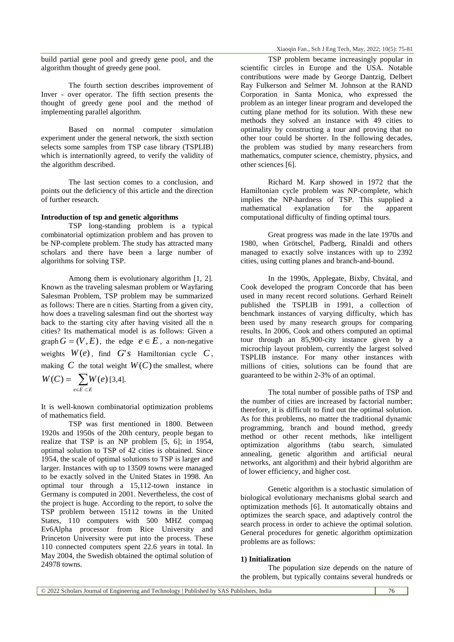The fourth section describes improvement of Inver - over operator. The fifth section presents the thought of greedy gene pool and the method of implementing parallel algorithm.

Based on normal computer simulation experiment under the general network, the sixth section selects some samples from TSP case library (TSPLIB) which is internationlly agreed, to verify the validity of the algorithm described.

The last section comes to a conclusion, and points out the deficiency of this article and the direction of further research.

#### **Introduction of tsp and genetic algorithms**

TSP long-standing problem is a typical combinatorial optimization problem and has proven to be NP-complete problem. The study has attracted many scholars and there have been a large number of algorithms for solving TSP.

Among them is evolutionary algorithm [1, 2]. Known as the traveling salesman problem or Wayfaring Salesman Problem, TSP problem may be summarized as follows: There are n cities. Starting from a given city, how does a traveling salesman find out the shortest way back to the starting city after having visited all the n cities? Its mathematical model is as follows: Given a graph  $G = (V, E)$ , the edge  $e \in E$ , a non-negative weights  $W(e)$ , find  $G's$  Hamiltonian cycle  $C$ , making  $C$  the total weight  $W(C)$  the smallest, where  $\sum_{e \in E}$  $=$  $e \in E \subset E$  $W(C) = \sum_{e \in E \subset E} W(e)$  [3,4].

It is well-known combinatorial optimization problems of mathematics field.

TSP was first mentioned in 1800. Between 1920s and 1950s of the 20th century, people began to realize that TSP is an NP problem [5, 6]; in 1954, optimal solution to TSP of 42 cities is obtained. Since 1954, the scale of optimal solutions to TSP is larger and larger. Instances with up to 13509 towns were managed to be exactly solved in the United States in 1998. An optimal tour through a 15,112-town instance in Germany is computed in 2001. Nevertheless, the cost of the project is huge. According to the report, to solve the TSP problem between 15112 towns in the United States, 110 computers with 500 MHZ compaq Ev6Alpha processor from Rice University and Princeton University were put into the process. These 110 connected computers spent 22.6 years in total. In May 2004, the Swedish obtained the optimal solution of 24978 towns.

TSP problem became increasingly popular in scientific circles in Europe and the USA. Notable contributions were made by George Dantzig, Delbert Ray Fulkerson and Selmer M. Johnson at the RAND Corporation in Santa Monica, who expressed the problem as an integer linear program and developed the cutting plane method for its solution. With these new methods they solved an instance with 49 cities to optimality by constructing a tour and proving that no other tour could be shorter. In the following decades, the problem was studied by many researchers from mathematics, computer science, chemistry, physics, and other sciences [6].

Richard M. Karp showed in 1972 that the Hamiltonian cycle problem was NP-complete, which implies the NP-hardness of TSP. This supplied a mathematical explanation for the apparent computational difficulty of finding optimal tours.

Great progress was made in the late 1970s and 1980, when Grötschel, Padberg, Rinaldi and others managed to exactly solve instances with up to 2392 cities, using cutting planes and branch-and-bound.

In the 1990s, Applegate, Bixby, Chvátal, and Cook developed the program Concorde that has been used in many recent record solutions. Gerhard Reinelt published the TSPLIB in 1991, a collection of benchmark instances of varying difficulty, which has been used by many research groups for comparing results. In 2006, Cook and others computed an optimal tour through an 85,900-city instance given by a microchip layout problem, currently the largest solved TSPLIB instance. For many other instances with millions of cities, solutions can be found that are guaranteed to be within 2-3% of an optimal.

The total number of possible paths of TSP and the number of cities are increased by factorial number; therefore, it is difficult to find out the optimal solution. As for this problems, no matter the traditional dynamic programming, branch and bound method, greedy method or other recent methods, like intelligent optimization algorithms (tabu search, simulated annealing, genetic algorithm and artificial neural networks, ant algorithm) and their hybrid algorithm are of lower efficiency, and higher cost.

Genetic algorithm is a stochastic simulation of biological evolutionary mechanisms global search and optimization methods [6]. It automatically obtains and optimizes the search space, and adaptively control the search process in order to achieve the optimal solution. General procedures for genetic algorithm optimization problems are as follows:

# **1) Initialization**

The population size depends on the nature of the problem, but typically contains several hundreds or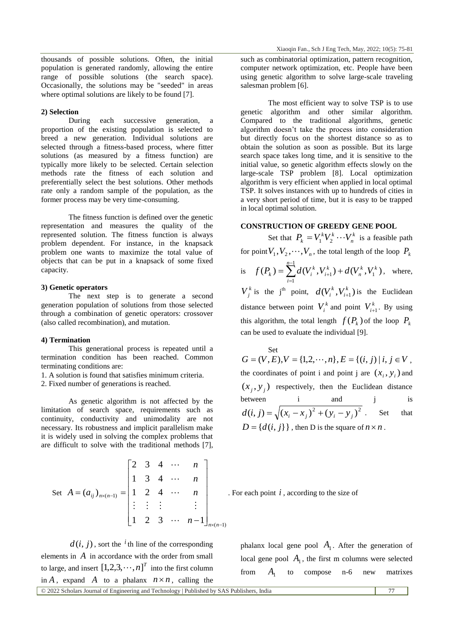thousands of possible solutions. Often, the initial population is generated randomly, allowing the entire range of possible solutions (the search space). Occasionally, the solutions may be "seeded" in areas where optimal solutions are likely to be found [7].

# **2) Selection**

During each successive generation, a proportion of the existing population is selected to breed a new generation. Individual solutions are selected through a fitness-based process, where fitter solutions (as measured by a fitness function) are typically more likely to be selected. Certain selection methods rate the fitness of each solution and preferentially select the best solutions. Other methods rate only a random sample of the population, as the former process may be very time-consuming.

The fitness function is defined over the genetic representation and measures the quality of the represented solution. The fitness function is always problem dependent. For instance, in the knapsack problem one wants to maximize the total value of objects that can be put in a knapsack of some fixed capacity.

# **3) Genetic operators**

The next step is to generate a second generation population of solutions from those selected through a combination of genetic operators: crossover (also called recombination), and mutation.

#### **4) Termination**

This generational process is repeated until a termination condition has been reached. Common terminating conditions are:

1. A solution is found that satisfies minimum criteria.

2. Fixed number of generations is reached.

As genetic algorithm is not affected by the limitation of search space, requirements such as continuity, conductivity and unimodality are not necessary. Its robustness and implicit parallelism make it is widely used in solving the complex problems that are difficult to solve with the traditional methods [7],

Set 
$$
A = (a_{ij})_{n \times (n-1)} =
$$

$$
\begin{bmatrix} 2 & 3 & 4 & \cdots & n \\ 1 & 3 & 4 & \cdots & n \\ \vdots & \vdots & \vdots & & \vdots \\ 1 & 2 & 3 & \cdots & n-1 \end{bmatrix}_{n \times (n-1)}
$$

 $d(i, j)$ , sort the <sup>*i*</sup>th line of the corresponding elements in *A* in accordance with the order from small to large, and insert  $\left[1,2,3,\cdots,n\right]^T$  into the first column in A, expand A to a phalanx  $n \times n$ , calling the such as combinatorial optimization, pattern recognition, computer network optimization, etc. People have been using genetic algorithm to solve large-scale traveling salesman problem [6].

The most efficient way to solve TSP is to use genetic algorithm and other similar algorithm. Compared to the traditional algorithms, genetic algorithm doesn't take the process into consideration but directly focus on the shortest distance so as to obtain the solution as soon as possible. But its large search space takes long time, and it is sensitive to the initial value, so genetic algorithm effects slowly on the large-scale TSP problem [8]. Local optimization algorithm is very efficient when applied in local optimal TSP. It solves instances with up to hundreds of cities in a very short period of time, but it is easy to be trapped in local optimal solution.

## **CONSTRUCTION OF GREEDY GENE POOL**

Set that  $P_k = V_1^k V_2^k \cdots V_n^k$  $P_k = V_1^k V_2^k \cdots V_n^k$  is a feasible path for point  $V_1, V_2, \dots, V_n$ , the total length of the loop  $P_k$ is  $f(P_k) = \sum d(V_i^k, V_{i+1}^k) + d(V_n^k, V_1^k)$ 1 1 1 *k k n n i k i*  $f(P_k) = \sum_{i=1}^{n-1} d(V_i^k, V_{i+1}^k) + d(V_n^k, V_{i+1}^k)$  $\overline{a}$  $_{+1}^{k}$ ) +  $d(V_{n}^{k}, V_{1}^{k})$ , where,  $V_j^k$  is the j<sup>th</sup> point,  $d(V_i^k, V_{i+1}^k)$ *i*  $d(V_i^k, V_{i+1}^k)$  is the Euclidean distance between point  $V_i^k$  and point  $V_{i+1}^k$ . By using this algorithm, the total length  $f(P_k)$  of the loop  $P_k$ can be used to evaluate the individual [9].

 $S_{\text{P}}$  $G = (V, E), V = \{1, 2, \dots, n\}, E = \{(i, j) | i, j \in V,$ the coordinates of point i and point j are  $(x_i, y_i)$  and  $(x_j, y_j)$  respectively, then the Euclidean distance between i and j is  $d(i, j) = \sqrt{(x_i - x_j)^2 + (y_i - y_j)^2}$ Set that  $D = \{d(i, j)\}\}\$ , then D is the square of  $n \times n$ .

. For each point  $i$ , according to the size of

phalanx local gene pool  $A_1$ . After the generation of local gene pool  $A_1$ , the first m columns were selected from  $A_{1}$ to compose n-6 new matrixes

© 2022 Scholars Journal of Engineering and Technology | Published by SAS Publishers, India 77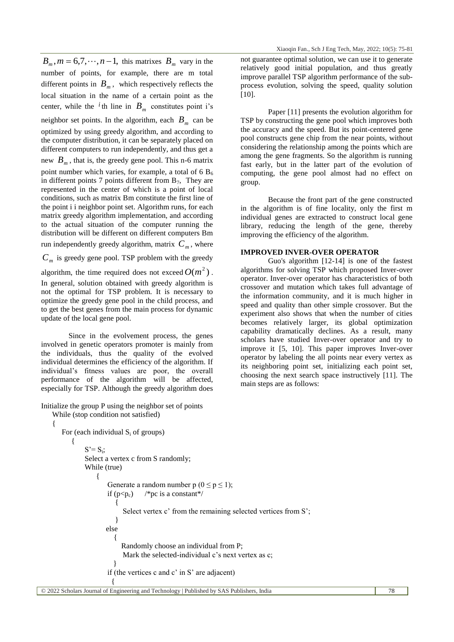$B_m$ ,  $m = 6,7,\dots, n-1$ , this matrixes  $B_m$  vary in the number of points, for example, there are m total different points in  $B_m$ , which respectively reflects the local situation in the name of a certain point as the center, while the <sup>*i*</sup>th line in  $B_m$  constitutes point i's neighbor set points. In the algorithm, each  $B_m$  can be optimized by using greedy algorithm, and according to the computer distribution, it can be separately placed on different computers to run independently, and thus get a new  $B_m$ , that is, the greedy gene pool. This n-6 matrix point number which varies, for example, a total of 6  $B_6$ 

in different points 7 points different from  $B_7$ , They are represented in the center of which is a point of local conditions, such as matrix Bm constitute the first line of the point i i neighbor point set. Algorithm runs, for each matrix greedy algorithm implementation, and according to the actual situation of the computer running the distribution will be different on different computers Bm

run independently greedy algorithm, matrix  $C_m$ , where

 $C_m$  is greedy gene pool. TSP problem with the greedy

algorithm, the time required does not exceed  $O(m^2)$ . In general, solution obtained with greedy algorithm is not the optimal for TSP problem. It is necessary to optimize the greedy gene pool in the child process, and to get the best genes from the main process for dynamic update of the local gene pool.

Since in the evolvement process, the genes involved in genetic operators promoter is mainly from the individuals, thus the quality of the evolved individual determines the efficiency of the algorithm. If individual's fitness values are poor, the overall performance of the algorithm will be affected, especially for TSP. Although the greedy algorithm does

Initialize the group P using the neighbor set of points

While (stop condition not satisfied)

For (each individual S<sup>i</sup> of groups)

{

not guarantee optimal solution, we can use it to generate relatively good initial population, and thus greatly improve parallel TSP algorithm performance of the subprocess evolution, solving the speed, quality solution [10].

Paper [11] presents the evolution algorithm for TSP by constructing the gene pool which improves both the accuracy and the speed. But its point-centered gene pool constructs gene chip from the near points, without considering the relationship among the points which are among the gene fragments. So the algorithm is running fast early, but in the latter part of the evolution of computing, the gene pool almost had no effect on group.

Because the front part of the gene constructed in the algorithm is of fine locality, only the first m individual genes are extracted to construct local gene library, reducing the length of the gene, thereby improving the efficiency of the algorithm.

# **IMPROVED INVER-OVER OPERATOR**

Guo's algorithm [12-14] is one of the fastest algorithms for solving TSP which proposed Inver-over operator. Inver-over operator has characteristics of both crossover and mutation which takes full advantage of the information community, and it is much higher in speed and quality than other simple crossover. But the experiment also shows that when the number of cities becomes relatively larger, its global optimization capability dramatically declines. As a result, many scholars have studied Inver-over operator and try to improve it [5, 10]. This paper improves Inver-over operator by labeling the all points near every vertex as its neighboring point set, initializing each point set, choosing the next search space instructively [11]. The main steps are as follows:

```
{
S' = S_i;Select a vertex c from S randomly:
While (true)
    {
        Generate a random number p (0 \le p \le 1);if (p < p_c) /*pc is a constant*/
           {
             Select vertex c' from the remaining selected vertices from S';
           }
       else
          {
             Randomly choose an individual from P;
             Mark the selected-individual c's next vertex as c;
          }
        if (the vertices c and c' in S' are adjacent) 
          {
```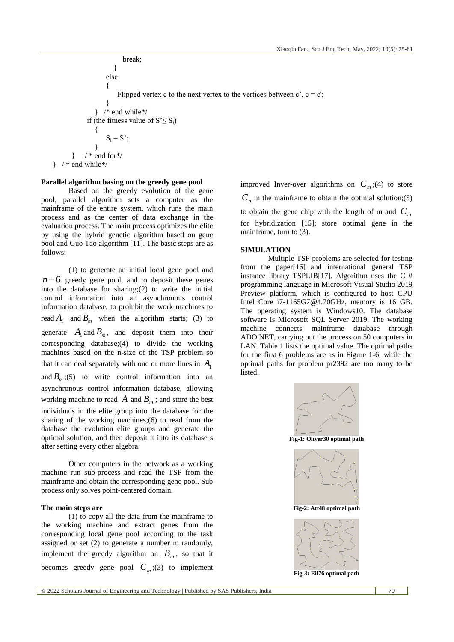break; } else { Flipped vertex c to the next vertex to the vertices between  $c'$ ,  $c = c'$ ; } } /\* end while\*/ if (the fitness value of  $S' \leq S_i$ ) {  $S_i = S'$ ; }  $}$  / \* end for\*/  $\}$  /\* end while\*/

# **Parallel algorithm basing on the greedy gene pool**

Based on the greedy evolution of the gene pool, parallel algorithm sets a computer as the mainframe of the entire system, which runs the main process and as the center of data exchange in the evaluation process. The main process optimizes the elite by using the hybrid genetic algorithm based on gene pool and Guo Tao algorithm [11]. The basic steps are as follows:

(1) to generate an initial local gene pool and  $n-6$  greedy gene pool, and to deposit these genes into the database for sharing;(2) to write the initial control information into an asynchronous control information database, to prohibit the work machines to read  $A_1$  and  $B_m$  when the algorithm starts; (3) to generate  $A_1$  and  $B_m$ , and deposit them into their corresponding database;(4) to divide the working machines based on the n-size of the TSP problem so that it can deal separately with one or more lines in  $A_1$ and  $B_m$ ;(5) to write control information into an asynchronous control information database, allowing working machine to read  $A_1$  and  $B_m$ ; and store the best individuals in the elite group into the database for the sharing of the working machines;(6) to read from the database the evolution elite groups and generate the optimal solution, and then deposit it into its database s after setting every other algebra.

Other computers in the network as a working machine run sub-process and read the TSP from the mainframe and obtain the corresponding gene pool. Sub process only solves point-centered domain.

#### **The main steps are**

(1) to copy all the data from the mainframe to the working machine and extract genes from the corresponding local gene pool according to the task assigned or set (2) to generate a number m randomly, implement the greedy algorithm on  $B_m$ , so that it becomes greedy gene pool  $C_m$ ;(3) to implement improved Inver-over algorithms on  $C_m$ ;(4) to store  $C_m$  in the mainframe to obtain the optimal solution;(5) to obtain the gene chip with the length of m and  $C_m$ for hybridization [15]; store optimal gene in the mainframe, turn to (3).

### **SIMULATION**

Multiple TSP problems are selected for testing from the paper[16] and international general TSP instance library TSPLIB[17]. Algorithm uses the  $C \#$ programming language in Microsoft Visual Studio 2019 Preview platform, which is configured to host CPU Intel Core i7-1165G7@4.70GHz, memory is 16 GB. The operating system is Windows10. The database software is Microsoft SQL Server 2019. The working machine connects mainframe database through ADO.NET, carrying out the process on 50 computers in LAN. Table 1 lists the optimal value. The optimal paths for the first 6 problems are as in Figure 1-6, while the optimal paths for problem pr2392 are too many to be listed.



**Fig-1: Oliver30 optimal path**





**Fig-3: Eil76 optimal path**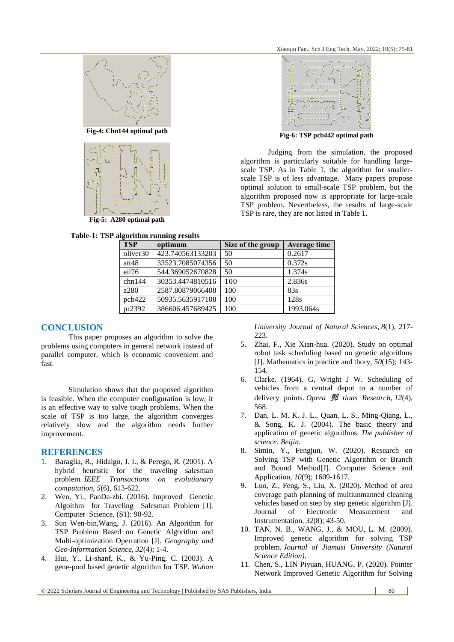**Fig-6: TSP pcb442 optimal path**

algorithm is particularly suitable for handling largescale TSP. As in Table 1, the algorithm for smallerscale TSP is of less advantage. Many papers propose optimal solution to small-scale TSP problem, but the algorithm proposed now is appropriate for large-scale TSP problem. Nevertheless, the results of large-scale

TSP is rare, they are not listed in Table 1.

Judging from the simulation, the proposed





**Fig-5: A280 optimal path**

| gorithm running results |                  |                   |                     |  |
|-------------------------|------------------|-------------------|---------------------|--|
| <b>TSP</b>              | optimum          | Size of the group | <b>Average time</b> |  |
| oliver30                | 423.740563133203 | 50                | 0.2617              |  |
| att48                   | 33523.7085074356 | 50                | 0.372s              |  |
| eil76                   | 544.369052670828 | 50                | 1.374s              |  |
| chn144                  | 30353.4474810516 | 100               | 2.836s              |  |
| a280                    | 2587.80879066408 | 100               | 83s                 |  |
| pcb422                  | 50935.5635917108 | 100               | 128s                |  |
| pr2392                  | 386606.457689425 | 100               | 1993.064s           |  |

#### **CONCLUSION**

This paper proposes an algorithm to solve the problems using computers in general network instead of parallel computer, which is economic convenient and fast.

Simulation shows that the proposed algorithm is feasible. When the computer configuration is low, it is an effective way to solve tough problems. When the scale of TSP is too large, the algorithm converges relatively slow and the algorithm needs further improvement.

#### **REFERENCES**

- 1. Baraglia, R., Hidalgo, J. I., & Perego, R. (2001). A hybrid heuristic for the traveling salesman problem. *IEEE Transactions on evolutionary computation*, *5*(6), 613-622.
- 2. Wen, Yi., PanDa-zhi. (2016). Improved Genetic Algoithm for Traveling Salesman Problem [J]. Computer Science, (S1): 90-92.
- 3. Sun Wen-bin,Wang, J. (2016). An Algorithm for TSP Problem Based on Genetic Algorithm and Multi-optimization Operration [J]. *Geography and Geo-Information Science, 32*(4); 1-4.
- 4. Hui, Y., Li-shanf, K., & Yu-Ping, C. (2003). A gene-pool based genetic algorithm for TSP. *Wuhan*

*University Journal of Natural Sciences*, *8*(1), 217- 223.

- 5. Zhai, F., Xie Xian-hua. (2020). Study on optimal robot task scheduling based on genetic algorithms [J]. Mathematics in practice and thory, *50*(15); 143- 154.
- 6. Clarke. (1964). G, Wright J W. Scheduling of vehicles from a central depot to a number of delivery points. *Opera* 鄄 *tions Research*, *12*(4), 568.
- 7. Dan, L. M. K. J. L., Quan, L. S., Ming-Qiang, L., & Song, K. J. (2004). The basic theory and application of genetic algorithms. *The publisher of science. Beijin*.
- 8. Simin, Y., Fengjun, W. (2020). Research on Solving TSP with Genetic Algorithm or Branch and Bound Method[J]. Computer Science and Application, *10*(9); 1609-1617.
- 9. Luo, Z., Feng, S., Liu, X. (2020). Method of area coverage path planning of multiunmanned cleaning vehicles based on step by step genetic algorithm [J]. Journal of Electronic Measurement and Instrumentation, *32*(8); 43-50.
- 10. TAN, N. B., WANG, J., & MOU, L. M. (2009). Improved genetic algorithm for solving TSP problem. *Journal of Jiamusi University (Natural Science Edition)*.
- 11. Chen, S., LIN Piyuan, HUANG, P. (2020). Pointer Network Improved Genetic Algorithm for Solving

© 2022 Scholars Journal of Engineering and Technology | Published by SAS Publishers, India 80